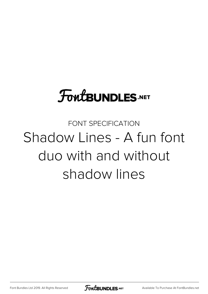# **FoutBUNDLES.NET**

FONT SPECIFICATION Shadow Lines - A fun font duo with and without shadow lines

[Font Bundles Ltd 2019. All Rights Reserved](https://fontbundles.net/) **FoutBUNDLES.NET** [Available To Purchase At FontBundles.net](https://fontbundles.net/)

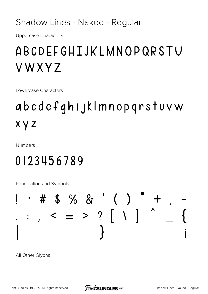Shadow Lines - Naked - Regular

**Uppercase Characters** 

# ABCDEFGHIJKLMNOPQRSTU VWXYZ

Lowercase Characters

# abcdefghijklmnopqrstuvw x y z

**Numbers** 

## 0123456789

Punctuation and Symbols

# ļ

All Other Glyphs

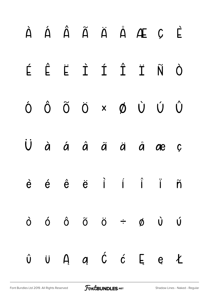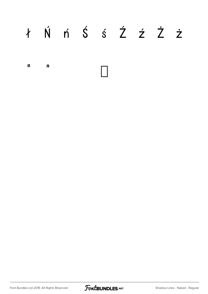# ł Ń ń Ś ś Ź ź Ż ż

 $\mathbf{N}$  $\boldsymbol{\mathcal{D}}$ 

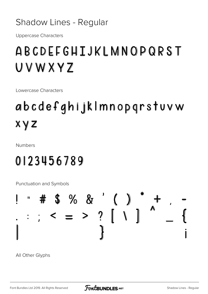#### Shadow Lines - Regular

**Uppercase Characters** 

# ABCDEFGHIJKLMNOPQRST UVWXYZ

Lowercase Characters

# abcdefghijklmnopgrstuvw  $X \vee Z$

**Numbers** 

## 0123456789

Punctuation and Symbols

# # \$ % & ' ( )<br> $:$  < = > ? [ \ ]

All Other Glyphs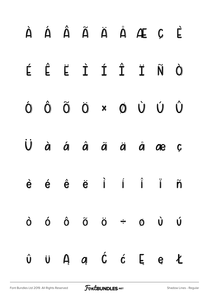